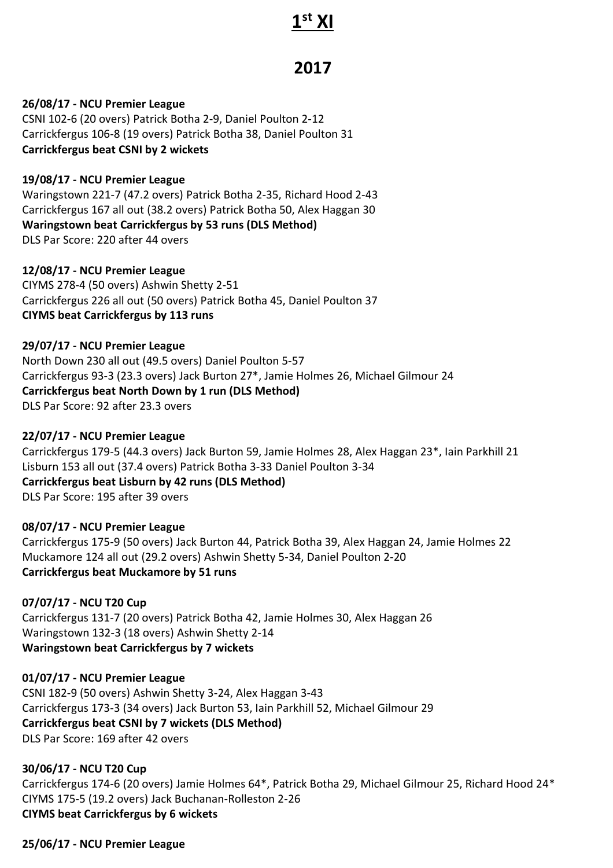# **1 st XI**

# **2017**

# **26/08/17 - NCU Premier League**

CSNI 102-6 (20 overs) Patrick Botha 2-9, Daniel Poulton 2-12 Carrickfergus 106-8 (19 overs) Patrick Botha 38, Daniel Poulton 31 **Carrickfergus beat CSNI by 2 wickets**

# **19/08/17 - NCU Premier League**

Waringstown 221-7 (47.2 overs) Patrick Botha 2-35, Richard Hood 2-43 Carrickfergus 167 all out (38.2 overs) Patrick Botha 50, Alex Haggan 30 **Waringstown beat Carrickfergus by 53 runs (DLS Method)** DLS Par Score: 220 after 44 overs

#### **12/08/17 - NCU Premier League**

CIYMS 278-4 (50 overs) Ashwin Shetty 2-51 Carrickfergus 226 all out (50 overs) Patrick Botha 45, Daniel Poulton 37 **CIYMS beat Carrickfergus by 113 runs**

**29/07/17 - NCU Premier League** North Down 230 all out (49.5 overs) Daniel Poulton 5-57 Carrickfergus 93-3 (23.3 overs) Jack Burton 27\*, Jamie Holmes 26, Michael Gilmour 24 **Carrickfergus beat North Down by 1 run (DLS Method)** DLS Par Score: 92 after 23.3 overs

#### **22/07/17 - NCU Premier League**

Carrickfergus 179-5 (44.3 overs) Jack Burton 59, Jamie Holmes 28, Alex Haggan 23\*, Iain Parkhill 21 Lisburn 153 all out (37.4 overs) Patrick Botha 3-33 Daniel Poulton 3-34 **Carrickfergus beat Lisburn by 42 runs (DLS Method)** DLS Par Score: 195 after 39 overs

# **08/07/17 - NCU Premier League**

Carrickfergus 175-9 (50 overs) Jack Burton 44, Patrick Botha 39, Alex Haggan 24, Jamie Holmes 22 Muckamore 124 all out (29.2 overs) Ashwin Shetty 5-34, Daniel Poulton 2-20 **Carrickfergus beat Muckamore by 51 runs**

# **07/07/17 - NCU T20 Cup**

Carrickfergus 131-7 (20 overs) Patrick Botha 42, Jamie Holmes 30, Alex Haggan 26 Waringstown 132-3 (18 overs) Ashwin Shetty 2-14 **Waringstown beat Carrickfergus by 7 wickets**

# **01/07/17 - NCU Premier League**

CSNI 182-9 (50 overs) Ashwin Shetty 3-24, Alex Haggan 3-43 Carrickfergus 173-3 (34 overs) Jack Burton 53, Iain Parkhill 52, Michael Gilmour 29 **Carrickfergus beat CSNI by 7 wickets (DLS Method)** DLS Par Score: 169 after 42 overs

# **30/06/17 - NCU T20 Cup**

Carrickfergus 174-6 (20 overs) Jamie Holmes 64\*, Patrick Botha 29, Michael Gilmour 25, Richard Hood 24\* CIYMS 175-5 (19.2 overs) Jack Buchanan-Rolleston 2-26 **CIYMS beat Carrickfergus by 6 wickets**

# **25/06/17 - NCU Premier League**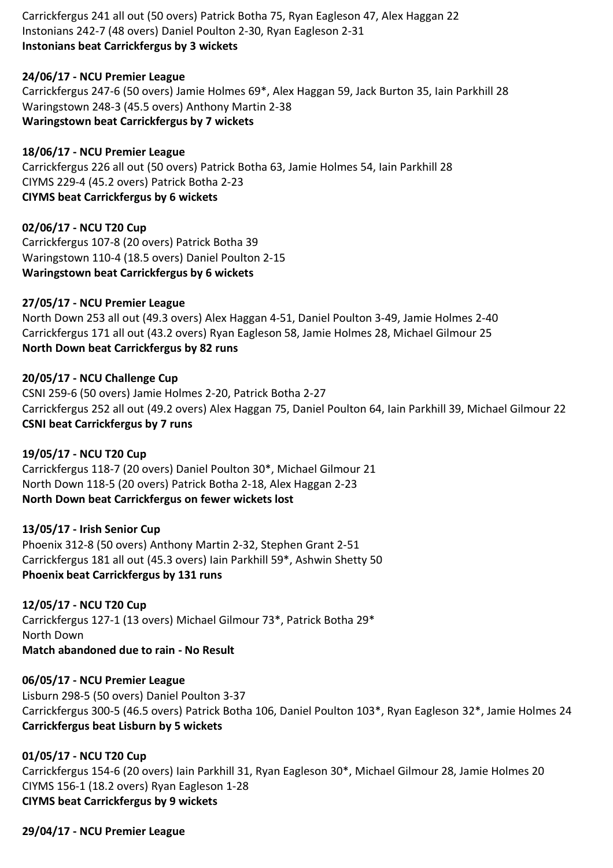Carrickfergus 241 all out (50 overs) Patrick Botha 75, Ryan Eagleson 47, Alex Haggan 22 Instonians 242-7 (48 overs) Daniel Poulton 2-30, Ryan Eagleson 2-31 **Instonians beat Carrickfergus by 3 wickets**

# **24/06/17 - NCU Premier League**

Carrickfergus 247-6 (50 overs) Jamie Holmes 69\*, Alex Haggan 59, Jack Burton 35, Iain Parkhill 28 Waringstown 248-3 (45.5 overs) Anthony Martin 2-38 **Waringstown beat Carrickfergus by 7 wickets**

#### **18/06/17 - NCU Premier League**

Carrickfergus 226 all out (50 overs) Patrick Botha 63, Jamie Holmes 54, Iain Parkhill 28 CIYMS 229-4 (45.2 overs) Patrick Botha 2-23 **CIYMS beat Carrickfergus by 6 wickets**

#### **02/06/17 - NCU T20 Cup**

Carrickfergus 107-8 (20 overs) Patrick Botha 39 Waringstown 110-4 (18.5 overs) Daniel Poulton 2-15 **Waringstown beat Carrickfergus by 6 wickets**

#### **27/05/17 - NCU Premier League**

North Down 253 all out (49.3 overs) Alex Haggan 4-51, Daniel Poulton 3-49, Jamie Holmes 2-40 Carrickfergus 171 all out (43.2 overs) Ryan Eagleson 58, Jamie Holmes 28, Michael Gilmour 25 **North Down beat Carrickfergus by 82 runs**

#### **20/05/17 - NCU Challenge Cup**

CSNI 259-6 (50 overs) Jamie Holmes 2-20, Patrick Botha 2-27 Carrickfergus 252 all out (49.2 overs) Alex Haggan 75, Daniel Poulton 64, Iain Parkhill 39, Michael Gilmour 22 **CSNI beat Carrickfergus by 7 runs**

#### **19/05/17 - NCU T20 Cup**

Carrickfergus 118-7 (20 overs) Daniel Poulton 30\*, Michael Gilmour 21 North Down 118-5 (20 overs) Patrick Botha 2-18, Alex Haggan 2-23 **North Down beat Carrickfergus on fewer wickets lost**

#### **13/05/17 - Irish Senior Cup**

Phoenix 312-8 (50 overs) Anthony Martin 2-32, Stephen Grant 2-51 Carrickfergus 181 all out (45.3 overs) Iain Parkhill 59\*, Ashwin Shetty 50 **Phoenix beat Carrickfergus by 131 runs**

**12/05/17 - NCU T20 Cup** Carrickfergus 127-1 (13 overs) Michael Gilmour 73\*, Patrick Botha 29\* North Down **Match abandoned due to rain - No Result**

**06/05/17 - NCU Premier League** Lisburn 298-5 (50 overs) Daniel Poulton 3-37 Carrickfergus 300-5 (46.5 overs) Patrick Botha 106, Daniel Poulton 103\*, Ryan Eagleson 32\*, Jamie Holmes 24 **Carrickfergus beat Lisburn by 5 wickets**

**01/05/17 - NCU T20 Cup** Carrickfergus 154-6 (20 overs) Iain Parkhill 31, Ryan Eagleson 30\*, Michael Gilmour 28, Jamie Holmes 20 CIYMS 156-1 (18.2 overs) Ryan Eagleson 1-28 **CIYMS beat Carrickfergus by 9 wickets**

**29/04/17 - NCU Premier League**